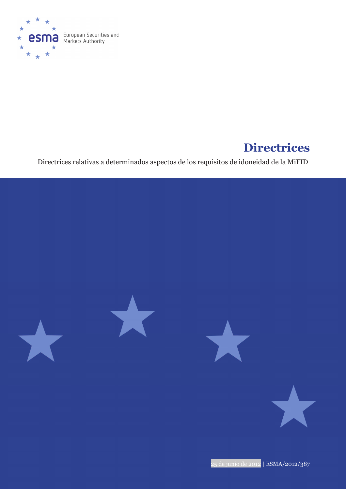

# **Directrices**

Directrices relativas a determinados aspectos de los requisitos de idoneidad de la MiFID



25 de junio de 2012 | ESMA/2012/387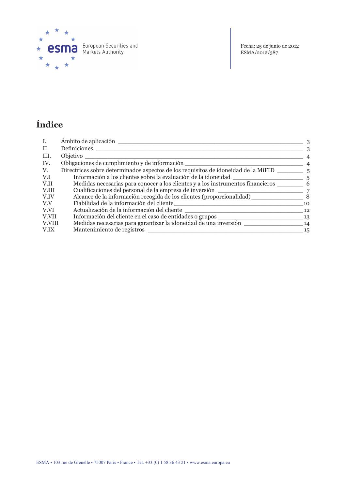

**esma** European Securities and

Fecha: 25 de junio de 2012<br>ESMA/2012/387

## Índice

| I.     | Ámbito de aplicación                                                                            | 3              |
|--------|-------------------------------------------------------------------------------------------------|----------------|
| Π.     | Definiciones                                                                                    | $\mathcal{S}$  |
| III.   | Objetivo                                                                                        | 4              |
| IV.    | Obligaciones de cumplimiento y de información                                                   | $\overline{4}$ |
| V.     | Directrices sobre determinados aspectos de los requisitos de idoneidad de la MiFID              | .5             |
| V.I    |                                                                                                 |                |
| V.II   | Medidas necesarias para conocer a los clientes y a los instrumentos financieros _____________ 6 |                |
| V.III  | Cualificaciones del personal de la empresa de inversión                                         | 7              |
| V.IV   | Alcance de la información recogida de los clientes (proporcionalidad)                           | - 8            |
| V.V    | Fiabilidad de la información del cliente                                                        | 10             |
| V.VI   | Actualización de la información del cliente                                                     | 12             |
| V.VII  | Información del cliente en el caso de entidades o grupos                                        | -13            |
| V.VIII | Medidas necesarias para garantizar la idoneidad de una inversión                                | 14             |
| V.IX   | Mantenimiento de registros                                                                      | 15             |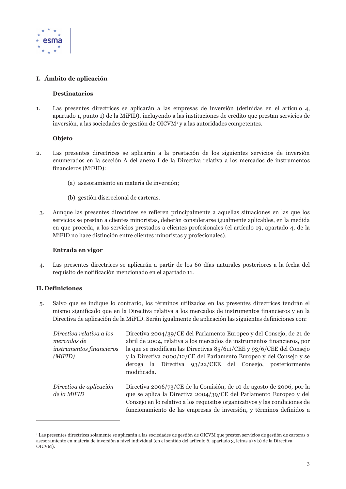

### I. Ámbito de aplicación

#### **Destinatarios**

Las presentes directrices se aplicarán a las empresas de inversión (definidas en el artículo 4,  $1<sub>1</sub>$ apartado 1, punto 1) de la MiFID), incluyendo a las instituciones de crédito que prestan servicios de inversión, a las sociedades de gestión de OICVM<sup>1</sup> y a las autoridades competentes.

#### **Objeto**

- Las presentes directrices se aplicarán a la prestación de los siguientes servicios de inversión  $2.$ enumerados en la sección A del anexo I de la Directiva relativa a los mercados de instrumentos financieros (MiFID):
	- (a) as espaniento en materia de inversión;
	- (b) gestión discrecional de carteras.
	- Aunque las presentes directrices se refieren principalmente a aquellas situaciones en las que los 3. servicios se prestan a clientes minoristas, deberán considerarse igualmente aplicables, en la medida en que proceda, a los servicios prestados a clientes profesionales (el artículo 19, apartado 4, de la MiFID no hace distinción entre clientes minoristas y profesionales).

#### Entrada en vigor

Las presentes directrices se aplicarán a partir de los 60 días naturales posteriores a la fecha del  $\overline{4}$ . requisito de notificación mencionado en el apartado 11.

#### **II.** Definiciones

Salvo que se indique lo contrario, los términos utilizados en las presentes directrices tendrán el 5. mismo significado que en la Directiva relativa a los mercados de instrumentos financieros y en la Directiva de aplicación de la MiFID. Serán igualmente de aplicación las siguientes definiciones con:

| Directiva relativa a los<br>mercados de<br>instrumentos financieros<br>(MiFID) | Directiva 2004/39/CE del Parlamento Europeo y del Consejo, de 21 de<br>abril de 2004, relativa a los mercados de instrumentos financieros, por<br>la que se modifican las Directivas $85/611/CEE$ y 93/6/CEE del Consejo<br>y la Directiva 2000/12/CE del Parlamento Europeo y del Consejo y se<br>la Directiva 93/22/CEE del Consejo, posteriormente<br>deroga<br>modificada. |
|--------------------------------------------------------------------------------|--------------------------------------------------------------------------------------------------------------------------------------------------------------------------------------------------------------------------------------------------------------------------------------------------------------------------------------------------------------------------------|
| Directiva de aplicación<br>de la MiFID                                         | Directiva 2006/73/CE de la Comisión, de 10 de agosto de 2006, por la<br>que se aplica la Directiva 2004/39/CE del Parlamento Europeo y del<br>Consejo en lo relativo a los requisitos organizativos y las condiciones de<br>funcionamiento de las empresas de inversión, y términos definidos a                                                                                |

<sup>&</sup>lt;sup>1</sup> Las presentes directrices solamente se aplicarán a las sociedades de gestión de OICVM que presten servicios de gestión de carteras o asesoramiento en materia de inversión a nivel individual (en el sentido del artículo 6, apartado 3, letras a) y b) de la Directiva OICVM).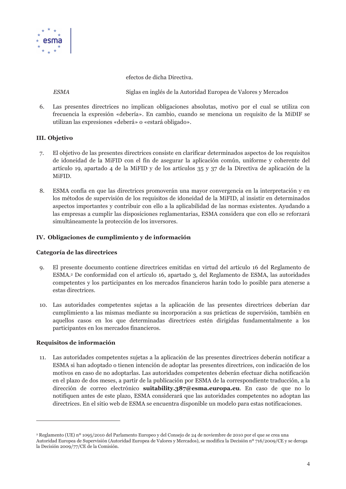

efectos de dicha Directiva.

**ESMA** 

Siglas en inglés de la Autoridad Europea de Valores y Mercados

 $6<sup>1</sup>$ Las presentes directrices no implican obligaciones absolutas, motivo por el cual se utiliza con frecuencia la expresión «debería». En cambio, cuando se menciona un requisito de la MiDIF se utilizan las expresiones «deberá» o «estará obligado».

#### **III.** Objetivo

- El objetivo de las presentes directrices consiste en clarificar determinados aspectos de los requisitos 7. de idoneidad de la MiFID con el fin de asegurar la aplicación común, uniforme y coherente del artículo 19, apartado 4 de la MiFID y de los artículos 35 y 37 de la Directiva de aplicación de la MiFID.
- ESMA confía en que las directrices promoverán una mayor convergencia en la interpretación y en 8. los métodos de supervisión de los requisitos de idoneidad de la MiFID, al insistir en determinados aspectos importantes y contribuir con ello a la aplicabilidad de las normas existentes. Ayudando a las empresas a cumplir las disposiciones reglamentarias, ESMA considera que con ello se reforzará simultáneamente la protección de los inversores.

#### IV. Obligaciones de cumplimiento y de información

#### Categoría de las directrices

- El presente documento contiene directrices emitidas en virtud del artículo 16 del Reglamento de 9. ESMA,<sup>2</sup> De conformidad con el artículo 16, apartado 3, del Reglamento de ESMA, las autoridades competentes y los participantes en los mercados financieros harán todo lo posible para atenerse a estas directrices.
- 10. Las autoridades competentes sujetas a la aplicación de las presentes directrices deberían dar cumplimiento a las mismas mediante su incorporación a sus prácticas de supervisión, también en aquellos casos en los que determinadas directrices estén dirigidas fundamentalmente a los participantes en los mercados financieros.

#### Requisitos de información

Las autoridades competentes sujetas a la aplicación de las presentes directrices deberán notificar a 11. ESMA si han adoptado o tienen intención de adoptar las presentes directrices, con indicación de los motivos en caso de no adoptarlas. Las autoridades competentes deberán efectuar dicha notificación en el plazo de dos meses, a partir de la publicación por ESMA de la correspondiente traducción, a la dirección de correo electrónico suitability.387@esma.europa.eu. En caso de que no lo notifiquen antes de este plazo, ESMA considerará que las autoridades competentes no adoptan las directrices. En el sitio web de ESMA se encuentra disponible un modelo para estas notificaciones.

<sup>&</sup>lt;sup>2</sup> Reglamento (UE) nº 1095/2010 del Parlamento Europeo y del Consejo de 24 de noviembre de 2010 por el que se crea una Autoridad Europea de Supervisión (Autoridad Europea de Valores y Mercados), se modifica la Decisión nº 716/2009/CE y se deroga la Decisión 2009/77/CE de la Comisión.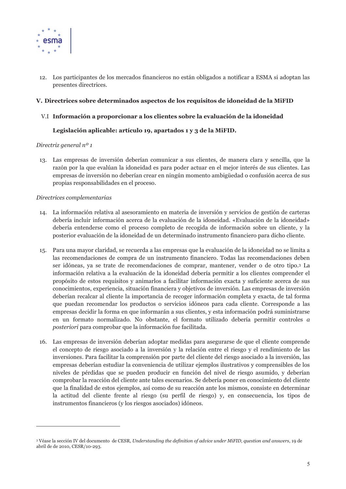

12. Los participantes de los mercados financieros no están obligados a notificar a ESMA si adoptan las presentes directrices.

#### V. Directrices sobre determinados aspectos de los requisitos de idoneidad de la MiFID

#### V.I Información a proporcionar a los clientes sobre la evaluación de la idoneidad

#### Legislación aplicable: artículo 19, apartados 1 y 3 de la MiFID.

#### Directriz general  $n^o 1$

13. Las empresas de inversión deberían comunicar a sus clientes, de manera clara y sencilla, que la razón por la que evalúan la idoneidad es para poder actuar en el mejor interés de sus clientes. Las empresas de inversión no deberían crear en ningún momento ambigüedad o confusión acerca de sus propias responsabilidades en el proceso.

- 14. La información relativa al asesoramiento en materia de inversión y servicios de gestión de carteras debería incluir información acerca de la evaluación de la idoneidad, «Evaluación de la idoneidad» debería entenderse como el proceso completo de recogida de información sobre un cliente, y la posterior evaluación de la idoneidad de un determinado instrumento financiero para dicho cliente.
- 15. Para una mayor claridad, se recuerda a las empresas que la evaluación de la idoneidad no se limita a las recomendaciones de compra de un instrumento financiero. Todas las recomendaciones deben ser idóneas, ya se trate de recomendaciones de comprar, mantener, vender o de otro tipo.<sup>3</sup> La información relativa a la evaluación de la idoneidad debería permitir a los clientes comprender el propósito de estos requisitos y animarlos a facilitar información exacta y suficiente acerca de sus conocimientos, experiencia, situación financiera y objetivos de inversión. Las empresas de inversión deberían recalcar al cliente la importancia de recoger información completa y exacta, de tal forma que puedan recomendar los productos o servicios idóneos para cada cliente. Corresponde a las empresas decidir la forma en que informarán a sus clientes, y esta información podrá suministrarse en un formato normalizado. No obstante, el formato utilizado debería permitir controles a posteriori para comprobar que la información fue facilitada.
- 16. Las empresas de inversión deberían adoptar medidas para asegurarse de que el cliente comprende el concepto de riesgo asociado a la inversión y la relación entre el riesgo y el rendimiento de las inversiones. Para facilitar la comprensión por parte del cliente del riesgo asociado a la inversión, las empresas deberían estudiar la conveniencia de utilizar ejemplos ilustrativos y comprensibles de los niveles de pérdidas que se pueden producir en función del nivel de riesgo asumido, y deberían comprobar la reacción del cliente ante tales escenarios. Se debería poner en conocimiento del cliente que la finalidad de estos ejemplos, así como de su reacción ante los mismos, consiste en determinar la actitud del cliente frente al riesgo (su perfil de riesgo) y, en consecuencia, los tipos de instrumentos financieros (y los riesgos asociados) idóneos.

<sup>&</sup>lt;sup>3</sup> Véase la sección IV del documento de CESR, Understanding the definition of advice under MiFID, question and answers, 19 de abril de de 2010, CESR/10-293.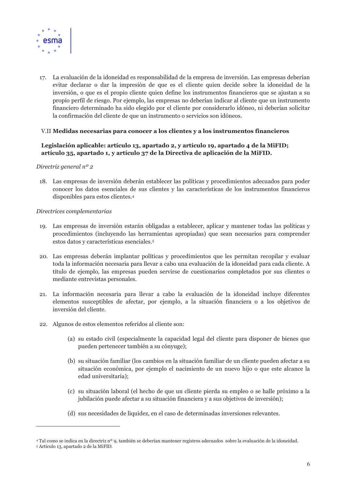

17. La evaluación de la idoneidad es responsabilidad de la empresa de inversión. Las empresas deberían evitar declarar o dar la impresión de que es el cliente quien decide sobre la idoneidad de la inversión, o que es el propio cliente quien define los instrumentos financieros que se ajustan a su propio perfil de riesgo. Por ejemplo, las empresas no deberían indicar al cliente que un instrumento financiero determinado ha sido elegido por el cliente por considerarlo idóneo, ni deberían solicitar la confirmación del cliente de que un instrumento o servicios son idóneos.

#### V.II Medidas necesarias para conocer a los clientes y a los instrumentos financieros

#### Legislación aplicable: artículo 13, apartado 2, y artículo 19, apartado 4 de la MiFID; artículo 35, apartado 1, y artículo 37 de la Directiva de aplicación de la MiFID.

#### Directriz general  $n^o$  2

18. Las empresas de inversión deberán establecer las políticas y procedimientos adecuados para poder conocer los datos esenciales de sus clientes y las características de los instrumentos financieros disponibles para estos clientes.<sup>4</sup>

- 19. Las empresas de inversión estarán obligadas a establecer, aplicar y mantener todas las políticas y procedimientos (incluyendo las herramientas apropiadas) que sean necesarios para comprender estos datos y características esenciales.<sup>5</sup>
- 20. Las empresas deberán implantar políticas y procedimientos que les permitan recopilar y evaluar toda la información necesaria para llevar a cabo una evaluación de la idoneidad para cada cliente. A título de ejemplo, las empresas pueden servirse de cuestionarios completados por sus clientes o mediante entrevistas personales.
- 21. La información necesaria para llevar a cabo la evaluación de la idoneidad incluye diferentes elementos susceptibles de afectar, por ejemplo, a la situación financiera o a los objetivos de inversión del cliente.
- 22. Algunos de estos elementos referidos al cliente son:
	- (a) su estado civil (especialmente la capacidad legal del cliente para disponer de bienes que pueden pertenecer también a su cónyuge);
	- (b) su situación familiar (los cambios en la situación familiar de un cliente pueden afectar a su situación económica, por ejemplo el nacimiento de un nuevo hijo o que este alcance la edad universitaria);
	- (c) su situación laboral (el hecho de que un cliente pierda su empleo o se halle próximo a la jubilación puede afectar a su situación financiera y a sus objetivos de inversión);
	- (d) sus necesidades de liquidez, en el caso de determinadas inversiones relevantes.

<sup>4</sup> Tal como se indica en la directriz nº 9, también se deberían mantener registros adecuados sobre la evaluación de la idoneidad.

<sup>&</sup>lt;sup>5</sup> Artículo 13, apartado 2 de la MiFID.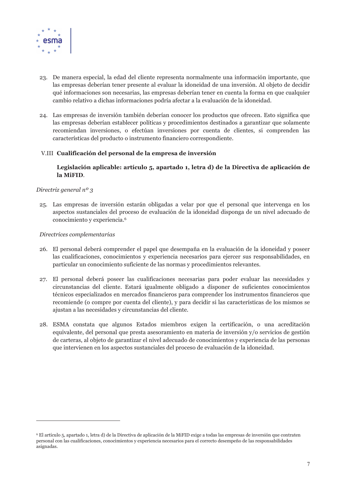

- 23. De manera especial, la edad del cliente representa normalmente una información importante, que las empresas deberían tener presente al evaluar la idoneidad de una inversión. Al objeto de decidir qué informaciones son necesarias, las empresas deberían tener en cuenta la forma en que cualquier cambio relativo a dichas informaciones podría afectar a la evaluación de la idoneidad.
- 24. Las empresas de inversión también deberían conocer los productos que ofrecen. Esto significa que las empresas deberían establecer políticas y procedimientos destinados a garantizar que solamente recomiendan inversiones, o efectúan inversiones por cuenta de clientes, si comprenden las características del producto o instrumento financiero correspondiente.

#### V.III Cualificación del personal de la empresa de inversión

#### Legislación aplicable: artículo 5, apartado 1, letra d) de la Directiva de aplicación de la MiFID.

#### Directriz general  $n^o$  3

25. Las empresas de inversión estarán obligadas a velar por que el personal que intervenga en los aspectos sustanciales del proceso de evaluación de la idoneidad disponga de un nivel adecuado de conocimiento y experiencia.<sup>6</sup>

- 26. El personal deberá comprender el papel que desempaña en la evaluación de la idoneidad y poseer las cualificaciones, conocimientos y experiencia necesarios para ejercer sus responsabilidades, en particular un conocimiento suficiente de las normas y procedimientos relevantes.
- 27. El personal deberá poseer las cualificaciones necesarias para poder evaluar las necesidades y circunstancias del cliente. Estará igualmente obligado a disponer de suficientes conocimientos técnicos especializados en mercados financieros para comprender los instrumentos financieros que recomiende (o compre por cuenta del cliente), y para decidir si las características de los mismos se ajustan a las necesidades y circunstancias del cliente.
- 28. ESMA constata que algunos Estados miembros exigen la certificación, o una acreditación equivalente, del personal que presta asesoramiento en materia de inversión y/o servicios de gestión de carteras, al objeto de garantizar el nivel adecuado de conocimientos y experiencia de las personas que intervienen en los aspectos sustanciales del proceso de evaluación de la idoneidad.

<sup>&</sup>lt;sup>6</sup> El artículo 5, apartado 1, letra d) de la Directiva de aplicación de la MiFID exige a todas las empresas de inversión que contraten personal con las cualificaciones, conocimientos y experiencia necesarios para el correcto desempeño de las responsabilidades asignadas.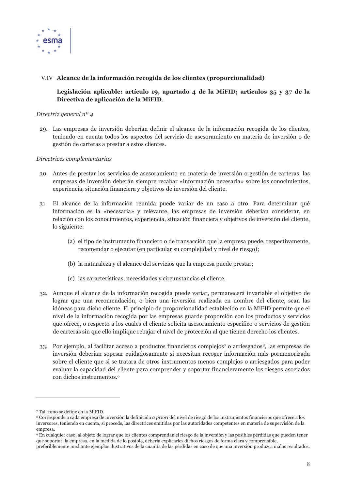

#### V.IV Alcance de la información recogida de los clientes (proporcionalidad)

#### Legislación aplicable: artículo 19, apartado 4 de la MiFID; artículos 35 y 37 de la Directiva de aplicación de la MiFID.

#### Directriz general  $n^o$  4

29. Las empresas de inversión deberían definir el alcance de la información recogida de los clientes, teniendo en cuenta todos los aspectos del servicio de asesoramiento en materia de inversión o de gestión de carteras a prestar a estos clientes.

- 30. Antes de prestar los servicios de asesoramiento en materia de inversión o gestión de carteras, las empresas de inversión deberán siempre recabar «información necesaria» sobre los conocimientos, experiencia, situación financiera y objetivos de inversión del cliente.
- 31. El alcance de la información reunida puede variar de un caso a otro. Para determinar qué información es la «necesaria» y relevante, las empresas de inversión deberían considerar, en relación con los conocimientos, experiencia, situación financiera y objetivos de inversión del cliente, lo siguiente:
	- (a) el tipo de instrumento financiero o de transacción que la empresa puede, respectivamente, recomendar o ejecutar (en particular su complejidad y nivel de riesgo);
	- (b) la naturaleza y el alcance del servicios que la empresa puede prestar;
	- (c) las características, necesidades y circunstancias el cliente.
- 32. Aunque el alcance de la información recogida puede variar, permanecerá invariable el objetivo de lograr que una recomendación, o bien una inversión realizada en nombre del cliente, sean las idóneas para dicho cliente. El principio de proporcionalidad establecido en la MiFID permite que el nivel de la información recogida por las empresas guarde proporción con los productos y servicios que ofrece, o respecto a los cuales el cliente solicita asesoramiento específico o servicios de gestión de carteras sin que ello implique rebajar el nivel de protección al que tienen derecho los clientes.
- 33. Por ejemplo, al facilitar acceso a productos financieros complejos<sup>7</sup> o arriesgados<sup>8</sup>, las empresas de inversión deberían sopesar cuidadosamente si necesitan recoger información más pormenorizada sobre el cliente que si se tratara de otros instrumentos menos complejos o arriesgados para poder evaluar la capacidad del cliente para comprender y soportar financieramente los riesgos asociados con dichos instrumentos.<sup>9</sup>

<sup>7</sup> Tal como se define en la MiEID

<sup>&</sup>lt;sup>8</sup> Corresponde a cada empresa de inversión la definición *a priori* del nivel de riesgo de los instrumentos financieros que ofrece a los inversores, teniendo en cuenta, si procede, las directrices emitidas por las autoridades competentes en materia de supervisión de la empresa.

<sup>9</sup> En cualquier caso, al objeto de lograr que los clientes comprendan el riesgo de la inversión y las posibles pérdidas que pueden tener que soportar, la empresa, en la medida de lo posible, debería explicarles dichos riesgos de forma clara y comprensible,

preferiblemente mediante ejemplos ilustrativos de la cuantía de las pérdidas en caso de que una inversión produzca malos resultados.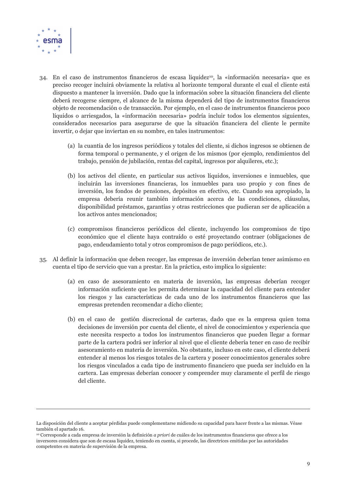

- 34. En el caso de instrumentos financieros de escasa liquidez<sup>10</sup>, la «información necesaria» que es preciso recoger incluirá obviamente la relativa al horizonte temporal durante el cual el cliente está dispuesto a mantener la inversión. Dado que la información sobre la situación financiera del cliente deberá recogerse siempre, el alcance de la misma dependerá del tipo de instrumentos financieros objeto de recomendación o de transacción. Por ejemplo, en el caso de instrumentos financieros poco líquidos o arriesgados, la «información necesaria» podría incluir todos los elementos siguientes, considerados necesarios para asegurarse de que la situación financiera del cliente le permite invertir, o dejar que inviertan en su nombre, en tales instrumentos:
	- (a) la cuantía de los ingresos periódicos y totales del cliente, si dichos ingresos se obtienen de forma temporal o permanente, y el origen de los mismos (por ejemplo, rendimientos del trabajo, pensión de jubilación, rentas del capital, ingresos por alquileres, etc.);
	- (b) los activos del cliente, en particular sus activos líquidos, inversiones e inmuebles, que incluirán las inversiones financieras, los inmuebles para uso propio y con fines de inversión, los fondos de pensiones, depósitos en efectivo, etc. Cuando sea apropiado, la empresa debería reunir también información acerca de las condiciones, cláusulas, disponibilidad préstamos, garantías y otras restricciones que pudieran ser de aplicación a los activos antes mencionados;
	- (c) compromisos financieros periódicos del cliente, incluyendo los compromisos de tipo económico que el cliente haya contraído o esté proyectando contraer (obligaciones de pago, endeudamiento total y otros compromisos de pago periódicos, etc.).
- 35. Al definir la información que deben recoger, las empresas de inversión deberían tener asimismo en cuenta el tipo de servicio que van a prestar. En la práctica, esto implica lo siguiente:
	- (a) en caso de asesoramiento en materia de inversión, las empresas deberían recoger información suficiente que les permita determinar la capacidad del cliente para entender los riesgos y las características de cada uno de los instrumentos financieros que las empresas pretenden recomendar a dicho cliente;
	- (b) en el caso de gestión discrecional de carteras, dado que es la empresa quien toma decisiones de inversión por cuenta del cliente, el nivel de conocimientos y experiencia que este necesita respecto a todos los instrumentos financieros que pueden llegar a formar parte de la cartera podrá ser inferior al nivel que el cliente debería tener en caso de recibir asesoramiento en materia de inversión. No obstante, incluso en este caso, el cliente deberá entender al menos los riesgos totales de la cartera y poseer conocimientos generales sobre los riesgos vinculados a cada tipo de instrumento financiero que pueda ser incluido en la cartera. Las empresas deberían conocer y comprender muy claramente el perfil de riesgo del cliente.

La disposición del cliente a aceptar pérdidas puede complementarse midiendo su capacidad para hacer frente a las mismas. Véase también el apartado 16.

<sup>&</sup>lt;sup>10</sup> Corresponde a cada empresa de inversión la definición *a priori* de cuáles de los instrumentos financieros que ofrece a los inversores considera que son de escasa liquidez, teniendo en cuenta, si procede, las directrices emitidas por las autoridades competentes en materia de supervisión de la empresa.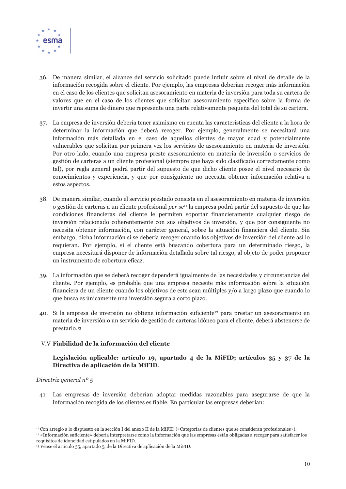

- 36. De manera similar, el alcance del servicio solicitado puede influir sobre el nivel de detalle de la información recogida sobre el cliente. Por ejemplo, las empresas deberían recoger más información en el caso de los clientes que solicitan asesoramiento en materia de inversión para toda su cartera de valores que en el caso de los clientes que solicitan asesoramiento específico sobre la forma de invertir una suma de dinero que represente una parte relativamente pequeña del total de su cartera.
- 37. La empresa de inversión debería tener asimismo en cuenta las características del cliente a la hora de determinar la información que deberá recoger. Por ejemplo, generalmente se necesitará una información más detallada en el caso de aquellos clientes de mayor edad y potencialmente vulnerables que solicitan por primera vez los servicios de asesoramiento en materia de inversión. Por otro lado, cuando una empresa preste asesoramiento en materia de inversión o servicios de gestión de carteras a un cliente profesional (siempre que haya sido clasificado correctamente como tal), por regla general podrá partir del supuesto de que dicho cliente posee el nivel necesario de conocimientos y experiencia, y que por consiguiente no necesita obtener información relativa a estos aspectos.
- 38. De manera similar, cuando el servicio prestado consista en el asesoramiento en materia de inversión o gestión de carteras a un cliente profesional *per se*<sup>11</sup> la empresa podrá partir del supuesto de que las condiciones financieras del cliente le permiten soportar financieramente cualquier riesgo de inversión relacionado coherentemente con sus objetivos de inversión, y que por consiguiente no necesita obtener información, con carácter general, sobre la situación financiera del cliente. Sin embargo, dicha información sí se debería recoger cuando los objetivos de inversión del cliente así lo requieran. Por ejemplo, si el cliente está buscando cobertura para un determinado riesgo, la empresa necesitará disponer de información detallada sobre tal riesgo, al objeto de poder proponer un instrumento de cobertura eficaz.
- 39. La información que se deberá recoger dependerá igualmente de las necesidades y circunstancias del cliente. Por ejemplo, es probable que una empresa necesite más información sobre la situación financiera de un cliente cuando los objetivos de este sean múltiples y/o a largo plazo que cuando lo que busca es únicamente una inversión segura a corto plazo.
- 40. Si la empresa de inversión no obtiene información suficiente<sup>12</sup> para prestar un asesoramiento en materia de inversión o un servicio de gestión de carteras idóneo para el cliente, deberá abstenerse de prestarlo.<sup>13</sup>

#### V.V Fiabilidad de la información del cliente

#### Legislación aplicable: artículo 19, apartado 4 de la MiFID; artículos 35 y 37 de la Directiva de aplicación de la MiFID.

#### Directriz general  $n^{\circ}$  5

41. Las empresas de inversión deberían adoptar medidas razonables para asegurarse de que la información recogida de los clientes es fiable. En particular las empresas deberían:

<sup>&</sup>lt;sup>11</sup> Con arregio a lo dispuesto en la sección I del anexo II de la MiFID («Categorías de clientes que se consideran profesionales»). <sup>12</sup> «Información suficiente» debería interpretarse como la información que las empresas están obligadas a recoger para satisfacer los requisitos de idoneidad estipulados en la MiFID.

<sup>&</sup>lt;sup>13</sup> Véase el artículo 35, apartado 5, de la Directiva de aplicación de la MiFID.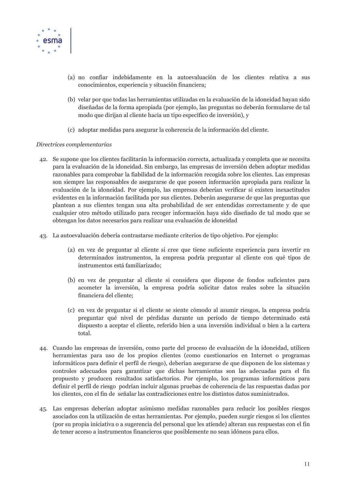

- (a) no confiar indebidamente en la autoevaluación de los clientes relativa a sus conocimientos, experiencia y situación financiera;
- (b) velar por que todas las herramientas utilizadas en la evaluación de la idoneidad havan sido diseñadas de la forma apropiada (por ejemplo, las preguntas no deberán formularse de tal modo que dirijan al cliente hacia un tipo específico de inversión), y
- (c) adoptar medidas para asegurar la coherencia de la información del cliente.

- 42. Se supone que los clientes facilitarán la información correcta, actualizada y completa que se necesita para la evaluación de la idoneidad. Sin embargo, las empresas de inversión deben adoptar medidas razonables para comprobar la fiabilidad de la información recogida sobre los clientes. Las empresas son siempre las responsables de asegurarse de que poseen información apropiada para realizar la evaluación de la idoneidad. Por ejemplo, las empresas deberían verificar si existen inexactitudes evidentes en la información facilitada por sus clientes. Deberán asegurarse de que las preguntas que plantean a sus clientes tengan una alta probabilidad de ser entendidas correctamente y de que cualquier otro método utilizado para recoger información haya sido diseñado de tal modo que se obtengan los datos necesarios para realizar una evaluación de idoneidad
- 43. La autoevaluación debería contrastarse mediante criterios de tipo objetivo. Por ejemplo:
	- (a) en vez de preguntar al cliente si cree que tiene suficiente experiencia para invertir en determinados instrumentos, la empresa podría preguntar al cliente con qué tipos de instrumentos está familiarizado;
	- (b) en vez de preguntar al cliente si considera que dispone de fondos suficientes para acometer la inversión, la empresa podría solicitar datos reales sobre la situación financiera del cliente;
	- (c) en vez de preguntar si el cliente se siente cómodo al asumir riesgos, la empresa podría preguntar qué nivel de pérdidas durante un período de tiempo determinado está dispuesto a aceptar el cliente, referido bien a una inversión individual o bien a la cartera total.
- 44. Cuando las empresas de inversión, como parte del proceso de evaluación de la idoneidad, utilicen herramientas para uso de los propios clientes (como cuestionarios en Internet o programas informáticos para definir el perfil de riesgo), deberían asegurarse de que disponen de los sistemas y controles adecuados para garantizar que dichas herramientas son las adecuadas para el fin propuesto y producen resultados satisfactorios. Por ejemplo, los programas informáticos para definir el perfil de riesgo podrían incluir algunas pruebas de coherencia de las respuestas dadas por los clientes, con el fin de señalar las contradicciones entre los distintos datos suministrados.
- 45. Las empresas deberían adoptar asimismo medidas razonables para reducir los posibles riesgos asociados con la utilización de estas herramientas. Por ejemplo, pueden surgir riesgos si los clientes (por su propia iniciativa o a sugerencia del personal que les atiende) alteran sus respuestas con el fin de tener acceso a instrumentos financieros que posiblemente no sean idóneos para ellos.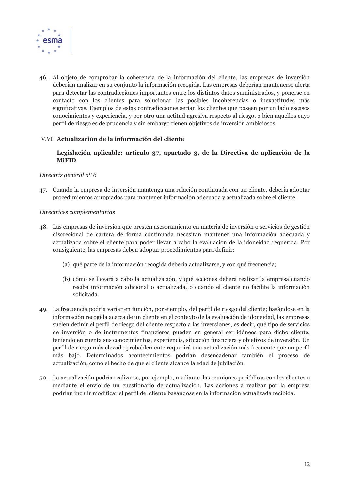

46. Al objeto de comprobar la coherencia de la información del cliente, las empresas de inversión deberían analizar en su conjunto la información recogida. Las empresas deberían mantenerse alerta para detectar las contradicciones importantes entre los distintos datos suministrados, y ponerse en contacto con los clientes para solucionar las posibles incoherencias o inexactitudes más significativas. Ejemplos de estas contradicciones serían los clientes que poseen por un lado escasos conocimientos y experiencia, y por otro una actitud agresiva respecto al riesgo, o bien aquellos cuyo perfil de riesgo es de prudencia y sin embargo tienen objetivos de inversión ambiciosos.

#### V.VI Actualización de la información del cliente

Legislación aplicable: artículo 37, apartado 3, de la Directiva de aplicación de la MiFID.

#### Directriz general  $n^{\circ}$  6

47. Cuando la empresa de inversión mantenga una relación continuada con un cliente, debería adoptar procedimientos apropiados para mantener información adecuada y actualizada sobre el cliente.

- 48. Las empresas de inversión que presten asesoramiento en materia de inversión o servicios de gestión discrecional de cartera de forma continuada necesitan mantener una información adecuada y actualizada sobre el cliente para poder llevar a cabo la evaluación de la idoneidad requerida. Por consiguiente, las empresas deben adoptar procedimientos para definir:
	- (a) qué parte de la información recogida debería actualizarse, y con qué frecuencia;
	- (b) cómo se llevará a cabo la actualización, y qué acciones deberá realizar la empresa cuando reciba información adicional o actualizada, o cuando el cliente no facilite la información solicitada.
- 49. La frecuencia podría variar en función, por ejemplo, del perfil de riesgo del cliente; basándose en la información recogida acerca de un cliente en el contexto de la evaluación de idoneidad, las empresas suelen definir el perfil de riesgo del cliente respecto a las inversiones, es decir, qué tipo de servicios de inversión o de instrumentos financieros pueden en general ser idóneos para dicho cliente, teniendo en cuenta sus conocimientos, experiencia, situación financiera y objetivos de inversión. Un perfil de riesgo más elevado probablemente requerirá una actualización más frecuente que un perfil más bajo. Determinados acontecimientos podrían desencadenar también el proceso de actualización, como el hecho de que el cliente alcance la edad de jubilación.
- 50. La actualización podría realizarse, por ejemplo, mediante las reuniones periódicas con los clientes o mediante el envío de un cuestionario de actualización. Las acciones a realizar por la empresa podrían incluir modificar el perfil del cliente basándose en la información actualizada recibida.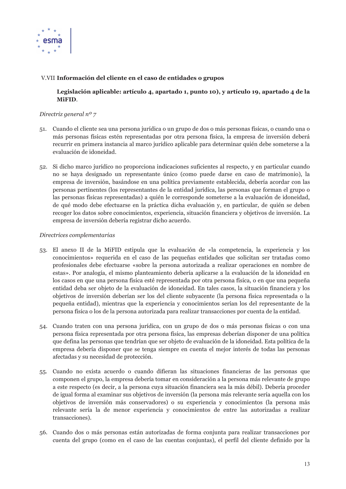

#### V.VII Información del cliente en el caso de entidades o grupos

#### Legislación aplicable: artículo 4, apartado 1, punto 10), y artículo 19, apartado 4 de la MiFID.

#### Directriz general  $n^o$  7

- 51. Cuando el cliente sea una persona jurídica o un grupo de dos o más personas físicas, o cuando una o más personas físicas estén representadas por otra persona física, la empresa de inversión deberá recurrir en primera instancia al marco jurídico aplicable para determinar quién debe someterse a la evaluación de idoneidad.
- 52. Si dicho marco jurídico no proporciona indicaciones suficientes al respecto, y en particular cuando no se haya designado un representante único (como puede darse en caso de matrimonio), la empresa de inversión, basándose en una política previamente establecida, debería acordar con las personas pertinentes (los representantes de la entidad jurídica, las personas que forman el grupo o las personas físicas representadas) a quién le corresponde someterse a la evaluación de idoneidad, de qué modo debe efectuarse en la práctica dicha evaluación y, en particular, de quién se deben recoger los datos sobre conocimientos, experiencia, situación financiera y objetivos de inversión. La empresa de inversión debería registrar dicho acuerdo.

- 53. El anexo II de la MiFID estipula que la evaluación de «la competencia, la experiencia y los conocimientos» requerida en el caso de las pequeñas entidades que solicitan ser tratadas como profesionales debe efectuarse «sobre la persona autorizada a realizar operaciones en nombre de estas». Por analogía, el mismo planteamiento debería aplicarse a la evaluación de la idoneidad en los casos en que una persona física esté representada por otra persona física, o en que una pequeña entidad deba ser objeto de la evaluación de idoneidad. En tales casos, la situación financiera y los objetivos de inversión deberían ser los del cliente subyacente (la persona física representada o la pequeña entidad), mientras que la experiencia y conocimientos serían los del representante de la persona física o los de la persona autorizada para realizar transacciones por cuenta de la entidad.
- 54. Cuando traten con una persona jurídica, con un grupo de dos o más personas físicas o con una persona física representada por otra persona física, las empresas deberían disponer de una política que defina las personas que tendrían que ser objeto de evaluación de la idoneidad. Esta política de la empresa debería disponer que se tenga siempre en cuenta el mejor interés de todas las personas afectadas y su necesidad de protección.
- 55. Cuando no exista acuerdo o cuando difieran las situaciones financieras de las personas que componen el grupo, la empresa debería tomar en consideración a la persona más relevante de grupo a este respecto (es decir, a la persona cuya situación financiera sea la más débil). Debería proceder de igual forma al examinar sus objetivos de inversión (la persona más relevante sería aquella con los objetivos de inversión más conservadores) o su experiencia y conocimientos (la persona más relevante sería la de menor experiencia y conocimientos de entre las autorizadas a realizar transacciones).
- 56. Cuando dos o más personas están autorizadas de forma conjunta para realizar transacciones por cuenta del grupo (como en el caso de las cuentas conjuntas), el perfil del cliente definido por la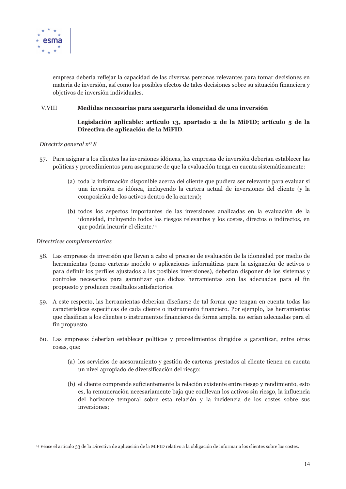

empresa debería reflejar la capacidad de las diversas personas relevantes para tomar decisiones en materia de inversión, así como los posibles efectos de tales decisiones sobre su situación financiera y objetivos de inversión individuales.

#### V.VIII Medidas necesarias para asegurarla idoneidad de una inversión

#### Legislación aplicable: artículo 13, apartado 2 de la MiFID; artículo 5 de la Directiva de aplicación de la MiFID.

#### Directriz general  $n^o$  8

- 57. Para asignar a los clientes las inversiones idóneas, las empresas de inversión deberían establecer las políticas y procedimientos para asegurarse de que la evaluación tenga en cuenta sistemáticamente:
	- (a) toda la información disponible acerca del cliente que pudiera ser relevante para evaluar si una inversión es idónea, incluyendo la cartera actual de inversiones del cliente (y la composición de los activos dentro de la cartera);
	- (b) todos los aspectos importantes de las inversiones analizadas en la evaluación de la idoneidad, incluyendo todos los riesgos relevantes y los costes, directos o indirectos, en que podría incurrir el cliente.<sup>14</sup>

- 58. Las empresas de inversión que lleven a cabo el proceso de evaluación de la idoneidad por medio de herramientas (como carteras modelo o aplicaciones informáticas para la asignación de activos o para definir los perfiles ajustados a las posibles inversiones), deberían disponer de los sistemas y controles necesarios para garantizar que dichas herramientas son las adecuadas para el fin propuesto y producen resultados satisfactorios.
- 59. A este respecto, las herramientas deberían diseñarse de tal forma que tengan en cuenta todas las características específicas de cada cliente o instrumento financiero. Por ejemplo, las herramientas que clasifican a los clientes o instrumentos financieros de forma amplia no serían adecuadas para el fin propuesto.
- 60. Las empresas deberían establecer políticas y procedimientos dirigidos a garantizar, entre otras cosas, que:
	- (a) los servicios de asesoramiento y gestión de carteras prestados al cliente tienen en cuenta un nivel apropiado de diversificación del riesgo;
	- (b) el cliente comprende suficientemente la relación existente entre riesgo y rendimiento, esto es, la remuneración necesariamente baja que conllevan los activos sin riesgo, la influencia del horizonte temporal sobre esta relación y la incidencia de los costes sobre sus inversiones;

<sup>&</sup>lt;sup>14</sup> Véase el artículo 33 de la Directiva de aplicación de la MiFID relativo a la obligación de informar a los clientes sobre los costes.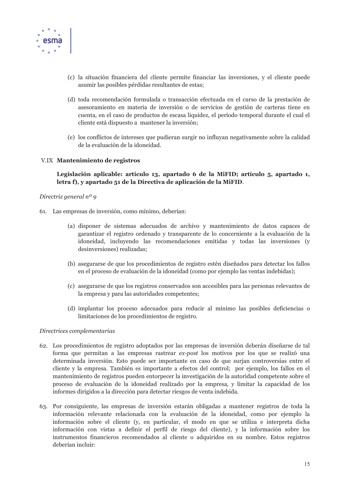

- (c) la situación financiera del cliente permite financiar las inversiones, y el cliente puede asumir las posibles pérdidas resultantes de estas;
- (d) toda recomendación formulada o transacción efectuada en el curso de la prestación de asesoramiento en materia de inversión o de servicios de gestión de carteras tiene en cuenta, en el caso de productos de escasa liquidez, el período temporal durante el cual el cliente está dispuesto a mantener la inversión;
- (e) los conflictos de intereses que pudieran surgir no influvan negativamente sobre la calidad de la evaluación de la idoneidad.

#### V.IX Mantenimiento de registros

#### Legislación aplicable: artículo 13, apartado 6 de la MiFID; artículo 5, apartado 1, letra f), y apartado 51 de la Directiva de aplicación de la MiFID.

#### Directriz general  $n^o$  9

- 61. Las empresas de inversión, como mínimo, deberían:
	- (a) disponer de sistemas adecuados de archivo y mantenimiento de datos capaces de garantizar el registro ordenado y transparente de lo concerniente a la evaluación de la idoneidad, incluyendo las recomendaciones emitidas y todas las inversiones (y desinversiones) realizadas;
	- (b) asegurarse de que los procedimientos de registro estén diseñados para detectar los fallos en el proceso de evaluación de la idoneidad (como por ejemplo las ventas indebidas);
	- (c) asegurarse de que los registros conservados son accesibles para las personas relevantes de la empresa y para las autoridades competentes;
	- (d) implantar los proceso adecuados para reducir al mínimo las posibles deficiencias o limitaciones de los procedimientos de registro.

- 62. Los procedimientos de registro adoptados por las empresas de inversión deberán diseñarse de tal forma que permitan a las empresas rastrear ex-post los motivos por los que se realizó una determinada inversión. Esto puede ser importante en caso de que surjan controversias entre el cliente y la empresa. También es importante a efectos del control; por ejemplo, los fallos en el mantenimiento de registros pueden entorpecer la investigación de la autoridad competente sobre el proceso de evaluación de la idoneidad realizado por la empresa, y limitar la capacidad de los informes dirigidos a la dirección para detectar riesgos de venta indebida.
- 63. Por consiguiente, las empresas de inversión estarán obligadas a mantener registros de toda la información relevante relacionada con la evaluación de la idoneidad, como por ejemplo la información sobre el cliente (y, en particular, el modo en que se utiliza e interpreta dicha información con vistas a definir el perfil de riesgo del cliente), y la información sobre los instrumentos financieros recomendados al cliente o adquiridos en su nombre. Estos registros deberían incluir: